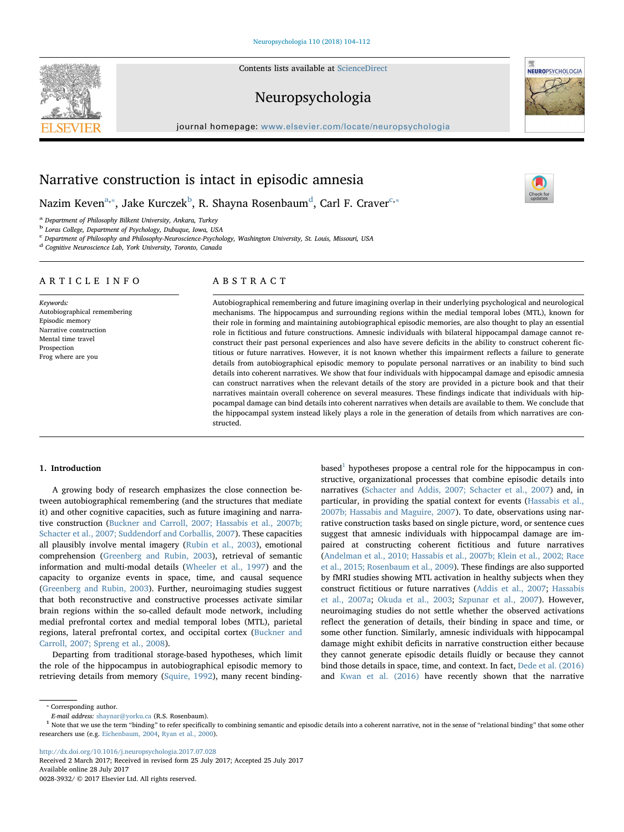Contents lists available at [ScienceDirect](http://www.sciencedirect.com/science/journal/00283932)

# Neuropsychologia

journal homepage: [www.elsevier.com/locate/neuropsychologia](http://www.elsevier.com/locate/neuropsychologia)



[T](http://crossmark.crossref.org/dialog/?doi=10.1016/j.neuropsychologia.2017.07.028&domain=pdf)

# Narrative construction is intact in episodic amnesia

Nazim Keven $^{\mathrm{a},*}$ , Jake Kur[c](#page-0-4)zek $^{\mathrm{b}}$  $^{\mathrm{b}}$  $^{\mathrm{b}}$ , R. Shayna Rosenbaum $^{\mathrm{d}}$  $^{\mathrm{d}}$  $^{\mathrm{d}}$ , Carl F. Craver $^{\mathrm{c},*}$ 

<span id="page-0-0"></span><sup>a</sup> Department of Philosophy Bilkent University, Ankara, Turkey

<span id="page-0-2"></span><sup>b</sup> Loras College, Department of Psychology, Dubuque, Iowa, USA

<span id="page-0-4"></span><sup>c</sup> Department of Philosophy and Philosophy-Neuroscience-Psychology, Washington University, St. Louis, Missouri, USA

<span id="page-0-3"></span><sup>d</sup> Cognitive Neuroscience Lab, York University, Toronto, Canada

# ARTICLE INFO

Keywords: Autobiographical remembering Episodic memory Narrative construction Mental time travel Prospection Frog where are you

# ABSTRACT

Autobiographical remembering and future imagining overlap in their underlying psychological and neurological mechanisms. The hippocampus and surrounding regions within the medial temporal lobes (MTL), known for their role in forming and maintaining autobiographical episodic memories, are also thought to play an essential role in fictitious and future constructions. Amnesic individuals with bilateral hippocampal damage cannot reconstruct their past personal experiences and also have severe deficits in the ability to construct coherent fictitious or future narratives. However, it is not known whether this impairment reflects a failure to generate details from autobiographical episodic memory to populate personal narratives or an inability to bind such details into coherent narratives. We show that four individuals with hippocampal damage and episodic amnesia can construct narratives when the relevant details of the story are provided in a picture book and that their narratives maintain overall coherence on several measures. These findings indicate that individuals with hippocampal damage can bind details into coherent narratives when details are available to them. We conclude that the hippocampal system instead likely plays a role in the generation of details from which narratives are constructed.

# 1. Introduction

A growing body of research emphasizes the close connection between autobiographical remembering (and the structures that mediate it) and other cognitive capacities, such as future imagining and narrative construction [\(Buckner and Carroll, 2007; Hassabis et al., 2007b;](#page-8-0) [Schacter et al., 2007; Suddendorf and Corballis, 2007](#page-8-0)). These capacities all plausibly involve mental imagery ([Rubin et al., 2003\)](#page-8-1), emotional comprehension ([Greenberg and Rubin, 2003\)](#page-8-2), retrieval of semantic information and multi-modal details [\(Wheeler et al., 1997\)](#page-8-3) and the capacity to organize events in space, time, and causal sequence ([Greenberg and Rubin, 2003\)](#page-8-2). Further, neuroimaging studies suggest that both reconstructive and constructive processes activate similar brain regions within the so-called default mode network, including medial prefrontal cortex and medial temporal lobes (MTL), parietal regions, lateral prefrontal cortex, and occipital cortex ([Buckner and](#page-8-0) [Carroll, 2007; Spreng et al., 2008](#page-8-0)).

Departing from traditional storage-based hypotheses, which limit the role of the hippocampus in autobiographical episodic memory to retrieving details from memory ([Squire, 1992\)](#page-8-4), many recent binding $based<sup>1</sup>$  $based<sup>1</sup>$  $based<sup>1</sup>$  hypotheses propose a central role for the hippocampus in constructive, organizational processes that combine episodic details into narratives ([Schacter and Addis, 2007; Schacter et al., 2007](#page-8-5)) and, in particular, in providing the spatial context for events ([Hassabis et al.,](#page-8-6) [2007b; Hassabis and Maguire, 2007\)](#page-8-6). To date, observations using narrative construction tasks based on single picture, word, or sentence cues suggest that amnesic individuals with hippocampal damage are impaired at constructing coherent fictitious and future narratives ([Andelman et al., 2010; Hassabis et al., 2007b; Klein et al., 2002; Race](#page-8-7) [et al., 2015; Rosenbaum et al., 2009](#page-8-7)). These findings are also supported by fMRI studies showing MTL activation in healthy subjects when they construct fictitious or future narratives [\(Addis et al., 2007](#page-8-8); [Hassabis](#page-8-9) [et al., 2007a](#page-8-9); [Okuda et al., 2003;](#page-8-10) [Szpunar et al., 2007](#page-8-11)). However, neuroimaging studies do not settle whether the observed activations reflect the generation of details, their binding in space and time, or some other function. Similarly, amnesic individuals with hippocampal damage might exhibit deficits in narrative construction either because they cannot generate episodic details fluidly or because they cannot bind those details in space, time, and context. In fact, [Dede et al. \(2016\)](#page-8-12) and [Kwan et al. \(2016\)](#page-8-13) have recently shown that the narrative

<http://dx.doi.org/10.1016/j.neuropsychologia.2017.07.028>

0028-3932/ © 2017 Elsevier Ltd. All rights reserved.



<span id="page-0-1"></span><sup>⁎</sup> Corresponding author.

<span id="page-0-5"></span> $E$ -mail address: [shaynar@yorku.ca](mailto:shaynar@yorku.ca) (R.S. Rosenbaum).<br><sup>1</sup> Note that we use the term "binding" to refer specifically to combining semantic and episodic details into a coherent narrative, not in the sense of "relational bind researchers use (e.g. [Eichenbaum, 2004,](#page-8-14) [Ryan et al., 2000\)](#page-8-15).

Received 2 March 2017; Received in revised form 25 July 2017; Accepted 25 July 2017 Available online 28 July 2017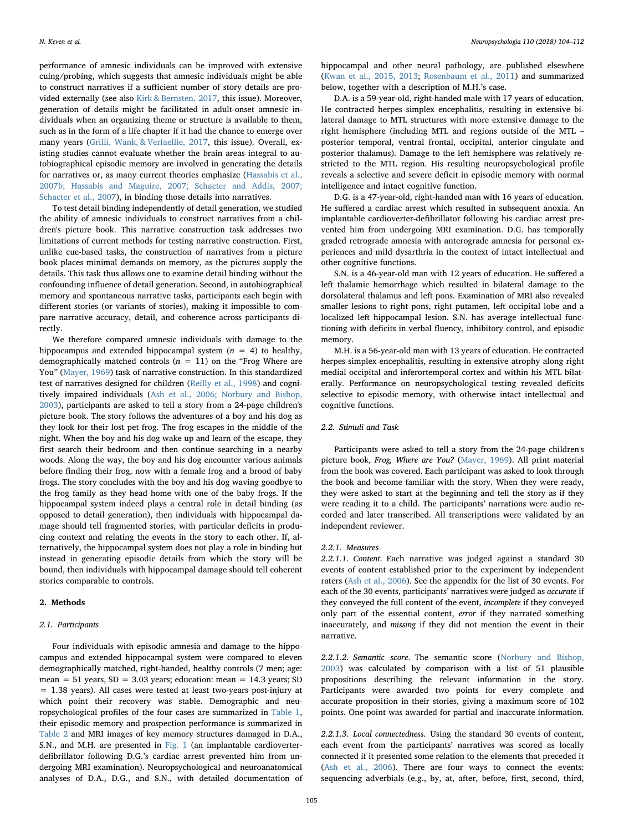performance of amnesic individuals can be improved with extensive cuing/probing, which suggests that amnesic individuals might be able to construct narratives if a sufficient number of story details are provided externally (see also [Kirk & Bernsten, 2017](#page-8-16), this issue). Moreover, generation of details might be facilitated in adult-onset amnesic individuals when an organizing theme or structure is available to them, such as in the form of a life chapter if it had the chance to emerge over many years ([Grilli, Wank, & Verfaellie, 2017](#page-8-17), this issue). Overall, existing studies cannot evaluate whether the brain areas integral to autobiographical episodic memory are involved in generating the details for narratives or, as many current theories emphasize [\(Hassabis et al.,](#page-8-6) [2007b; Hassabis and Maguire, 2007; Schacter and Addis, 2007;](#page-8-6) [Schacter et al., 2007\)](#page-8-6), in binding those details into narratives.

To test detail binding independently of detail generation, we studied the ability of amnesic individuals to construct narratives from a children's picture book. This narrative construction task addresses two limitations of current methods for testing narrative construction. First, unlike cue-based tasks, the construction of narratives from a picture book places minimal demands on memory, as the pictures supply the details. This task thus allows one to examine detail binding without the confounding influence of detail generation. Second, in autobiographical memory and spontaneous narrative tasks, participants each begin with different stories (or variants of stories), making it impossible to compare narrative accuracy, detail, and coherence across participants directly.

We therefore compared amnesic individuals with damage to the hippocampus and extended hippocampal system  $(n = 4)$  to healthy, demographically matched controls ( $n = 11$ ) on the "Frog Where are You" [\(Mayer, 1969](#page-8-18)) task of narrative construction. In this standardized test of narratives designed for children ([Reilly et al., 1998\)](#page-8-19) and cognitively impaired individuals ([Ash et al., 2006; Norbury and Bishop,](#page-8-20) [2003\)](#page-8-20), participants are asked to tell a story from a 24-page children's picture book. The story follows the adventures of a boy and his dog as they look for their lost pet frog. The frog escapes in the middle of the night. When the boy and his dog wake up and learn of the escape, they first search their bedroom and then continue searching in a nearby woods. Along the way, the boy and his dog encounter various animals before finding their frog, now with a female frog and a brood of baby frogs. The story concludes with the boy and his dog waving goodbye to the frog family as they head home with one of the baby frogs. If the hippocampal system indeed plays a central role in detail binding (as opposed to detail generation), then individuals with hippocampal damage should tell fragmented stories, with particular deficits in producing context and relating the events in the story to each other. If, alternatively, the hippocampal system does not play a role in binding but instead in generating episodic details from which the story will be bound, then individuals with hippocampal damage should tell coherent stories comparable to controls.

# 2. Methods

# 2.1. Participants

Four individuals with episodic amnesia and damage to the hippocampus and extended hippocampal system were compared to eleven demographically matched, right-handed, healthy controls (7 men; age: mean =  $51$  years,  $SD = 3.03$  years; education: mean =  $14.3$  years; SD = 1.38 years). All cases were tested at least two-years post-injury at which point their recovery was stable. Demographic and neuropsychological profiles of the four cases are summarized in [Table 1](#page-2-0), their episodic memory and prospection performance is summarized in [Table 2](#page-2-1) and MRI images of key memory structures damaged in D.A., S.N., and M.H. are presented in [Fig. 1](#page-3-0) (an implantable cardioverterdefibrillator following D.G.'s cardiac arrest prevented him from undergoing MRI examination). Neuropsychological and neuroanatomical analyses of D.A., D.G., and S.N., with detailed documentation of hippocampal and other neural pathology, are published elsewhere ([Kwan et al., 2015, 2013](#page-8-21); [Rosenbaum et al., 2011\)](#page-8-22) and summarized below, together with a description of M.H.'s case.

D.A. is a 59-year-old, right-handed male with 17 years of education. He contracted herpes simplex encephalitis, resulting in extensive bilateral damage to MTL structures with more extensive damage to the right hemisphere (including MTL and regions outside of the MTL – posterior temporal, ventral frontal, occipital, anterior cingulate and posterior thalamus). Damage to the left hemisphere was relatively restricted to the MTL region. His resulting neuropsychological profile reveals a selective and severe deficit in episodic memory with normal intelligence and intact cognitive function.

D.G. is a 47-year-old, right-handed man with 16 years of education. He suffered a cardiac arrest which resulted in subsequent anoxia. An implantable cardioverter-defibrillator following his cardiac arrest prevented him from undergoing MRI examination. D.G. has temporally graded retrograde amnesia with anterograde amnesia for personal experiences and mild dysarthria in the context of intact intellectual and other cognitive functions.

S.N. is a 46-year-old man with 12 years of education. He suffered a left thalamic hemorrhage which resulted in bilateral damage to the dorsolateral thalamus and left pons. Examination of MRI also revealed smaller lesions to right pons, right putamen, left occipital lobe and a localized left hippocampal lesion. S.N. has average intellectual functioning with deficits in verbal fluency, inhibitory control, and episodic memory.

M.H. is a 56-year-old man with 13 years of education. He contracted herpes simplex encephalitis, resulting in extensive atrophy along right medial occipital and inferortemporal cortex and within his MTL bilaterally. Performance on neuropsychological testing revealed deficits selective to episodic memory, with otherwise intact intellectual and cognitive functions.

# 2.2. Stimuli and Task

Participants were asked to tell a story from the 24-page children's picture book, Frog, Where are You? ([Mayer, 1969\)](#page-8-18). All print material from the book was covered. Each participant was asked to look through the book and become familiar with the story. When they were ready, they were asked to start at the beginning and tell the story as if they were reading it to a child. The participants' narrations were audio recorded and later transcribed. All transcriptions were validated by an independent reviewer.

#### 2.2.1. Measures

2.2.1.1. Content. Each narrative was judged against a standard 30 events of content established prior to the experiment by independent raters [\(Ash et al., 2006](#page-8-20)). See the appendix for the list of 30 events. For each of the 30 events, participants' narratives were judged as accurate if they conveyed the full content of the event, incomplete if they conveyed only part of the essential content, error if they narrated something inaccurately, and missing if they did not mention the event in their narrative.

2.2.1.2. Semantic score. The semantic score [\(Norbury and Bishop,](#page-8-23) [2003\)](#page-8-23) was calculated by comparison with a list of 51 plausible propositions describing the relevant information in the story. Participants were awarded two points for every complete and accurate proposition in their stories, giving a maximum score of 102 points. One point was awarded for partial and inaccurate information.

2.2.1.3. Local connectedness. Using the standard 30 events of content, each event from the participants' narratives was scored as locally connected if it presented some relation to the elements that preceded it ([Ash et al., 2006\)](#page-8-20). There are four ways to connect the events: sequencing adverbials (e.g., by, at, after, before, first, second, third,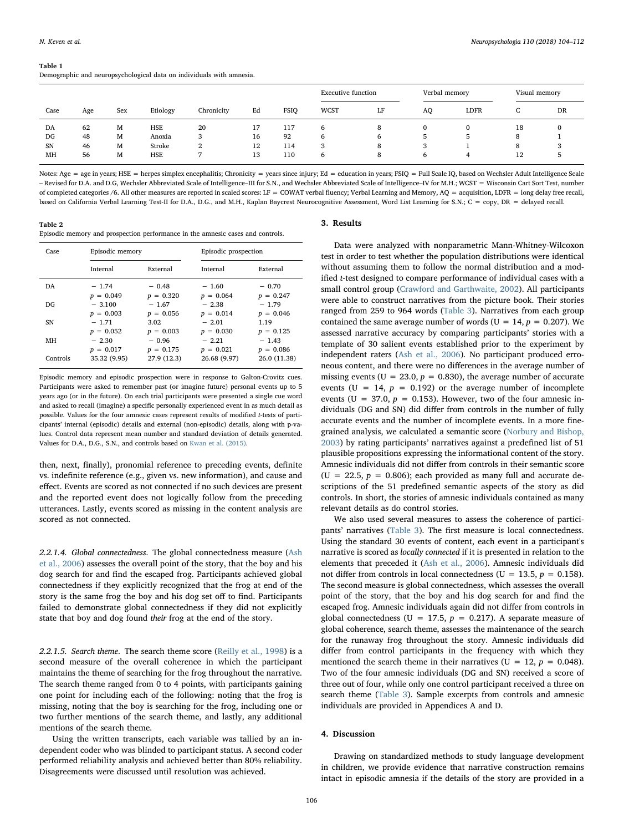#### <span id="page-2-0"></span>Table 1

Demographic and neuropsychological data on individuals with amnesia.

|           |     |     |            |            |    |             | <b>Executive function</b> |    | Verbal memory  |              | Visual memory |           |
|-----------|-----|-----|------------|------------|----|-------------|---------------------------|----|----------------|--------------|---------------|-----------|
| Case      | Age | Sex | Etiology   | Chronicity | Ed | <b>FSIQ</b> | <b>WCST</b>               | LF | A <sub>O</sub> | <b>LDFR</b>  | ◡             | <b>DR</b> |
| DA        | 62  | М   | HSE        | 20         | 17 | 117         | b                         | 8  |                | $\Omega$     | 18            |           |
| DG        | 48  | М   | Anoxia     | 3          | 16 | 92          | 6                         | 6  | 5.             | $\mathbf{p}$ | 8             |           |
| <b>SN</b> | 46  | м   | Stroke     | ົ<br>▵     | 12 | 114         | 3                         | 8  |                |              | 8             |           |
| MH        | 56  | М   | <b>HSE</b> |            | 13 | 110         | 6                         | 8  | 6              | 4            | 12            |           |

Notes: Age = age in years; HSE = herpes simplex encephalitis; Chronicity = years since injury; Ed = education in years; FSIQ = Full Scale IQ, based on Wechsler Adult Intelligence Scale – Revised for D.A. and D.G, Wechsler Abbreviated Scale of Intelligence–III for S.N., and Wechsler Abbreviated Scale of Intelligence–IV for M.H.; WCST = Wisconsin Cart Sort Test, number of completed categories /6. All other measures are reported in scaled scores: LF = COWAT verbal fluency; Verbal Learning and Memory, AQ = acquisition, LDFR = long delay free recall. based on California Verbal Learning Test-II for D.A., D.G., and M.H., Kaplan Baycrest Neurocognitive Assessment, Word List Learning for S.N.; C = copy, DR = delayed recall.

<span id="page-2-1"></span>Table 2

Episodic memory and prospection performance in the amnesic cases and controls.

| Case     | Episodic memory |             | Episodic prospection |              |  |
|----------|-----------------|-------------|----------------------|--------------|--|
|          | Internal        | External    | Internal             | External     |  |
| DA       | $-1.74$         | $-0.48$     | $-1.60$              | $-0.70$      |  |
|          | $p = 0.049$     | $p = 0.320$ | $p = 0.064$          | $p = 0.247$  |  |
| DG       | $-3.100$        | $-1.67$     | $-2.38$              | $-1.79$      |  |
|          | $p = 0.003$     | $p = 0.056$ | $p = 0.014$          | $p = 0.046$  |  |
| SN       | $-1.71$         | 3.02        | $-2.01$              | 1.19         |  |
|          | $p = 0.052$     | $p = 0.003$ | $p = 0.030$          | $p = 0.125$  |  |
| MН       | $-2.30$         | $-0.96$     | $-2.21$              | $-1.43$      |  |
|          | $p = 0.017$     | $p = 0.175$ | $p = 0.021$          | $p = 0.086$  |  |
| Controls | 35.32 (9.95)    | 27.9 (12.3) | 26.68 (9.97)         | 26.0 (11.38) |  |

Episodic memory and episodic prospection were in response to Galton-Crovitz cues. Participants were asked to remember past (or imagine future) personal events up to 5 years ago (or in the future). On each trial participants were presented a single cue word and asked to recall (imagine) a specific personally experienced event in as much detail as possible. Values for the four amnesic cases represent results of modified t-tests of participants' internal (episodic) details and external (non-episodic) details, along with p-values. Control data represent mean number and standard deviation of details generated. Values for D.A., D.G., S.N., and controls based on [Kwan et al. \(2015\).](#page-8-25)

then, next, finally), pronomial reference to preceding events, definite vs. indefinite reference (e.g., given vs. new information), and cause and effect. Events are scored as not connected if no such devices are present and the reported event does not logically follow from the preceding utterances. Lastly, events scored as missing in the content analysis are scored as not connected.

2.2.1.4. Global connectedness. The global connectedness measure ([Ash](#page-8-20) [et al., 2006\)](#page-8-20) assesses the overall point of the story, that the boy and his dog search for and find the escaped frog. Participants achieved global connectedness if they explicitly recognized that the frog at end of the story is the same frog the boy and his dog set off to find. Participants failed to demonstrate global connectedness if they did not explicitly state that boy and dog found their frog at the end of the story.

2.2.1.5. Search theme. The search theme score ([Reilly et al., 1998](#page-8-19)) is a second measure of the overall coherence in which the participant maintains the theme of searching for the frog throughout the narrative. The search theme ranged from 0 to 4 points, with participants gaining one point for including each of the following: noting that the frog is missing, noting that the boy is searching for the frog, including one or two further mentions of the search theme, and lastly, any additional mentions of the search theme.

Using the written transcripts, each variable was tallied by an independent coder who was blinded to participant status. A second coder performed reliability analysis and achieved better than 80% reliability. Disagreements were discussed until resolution was achieved.

#### 3. Results

Data were analyzed with nonparametric Mann-Whitney-Wilcoxon test in order to test whether the population distributions were identical without assuming them to follow the normal distribution and a modified t-test designed to compare performance of individual cases with a small control group ([Crawford and Garthwaite, 2002](#page-8-24)). All participants were able to construct narratives from the picture book. Their stories ranged from 259 to 964 words ([Table 3\)](#page-4-0). Narratives from each group contained the same average number of words ( $U = 14$ ,  $p = 0.207$ ). We assessed narrative accuracy by comparing participants' stories with a template of 30 salient events established prior to the experiment by independent raters ([Ash et al., 2006\)](#page-8-20). No participant produced erroneous content, and there were no differences in the average number of missing events ( $U = 23.0$ ,  $p = 0.830$ ), the average number of accurate events (U = 14,  $p = 0.192$ ) or the average number of incomplete events (U = 37.0,  $p = 0.153$ ). However, two of the four amnesic individuals (DG and SN) did differ from controls in the number of fully accurate events and the number of incomplete events. In a more finegrained analysis, we calculated a semantic score ([Norbury and Bishop,](#page-8-23) [2003\)](#page-8-23) by rating participants' narratives against a predefined list of 51 plausible propositions expressing the informational content of the story. Amnesic individuals did not differ from controls in their semantic score (U = 22.5,  $p = 0.806$ ); each provided as many full and accurate descriptions of the 51 predefined semantic aspects of the story as did controls. In short, the stories of amnesic individuals contained as many relevant details as do control stories.

We also used several measures to assess the coherence of participants' narratives ([Table 3](#page-4-0)). The first measure is local connectedness. Using the standard 30 events of content, each event in a participant's narrative is scored as locally connected if it is presented in relation to the elements that preceded it ([Ash et al., 2006\)](#page-8-20). Amnesic individuals did not differ from controls in local connectedness ( $U = 13.5$ ,  $p = 0.158$ ). The second measure is global connectedness, which assesses the overall point of the story, that the boy and his dog search for and find the escaped frog. Amnesic individuals again did not differ from controls in global connectedness (U = 17.5,  $p = 0.217$ ). A separate measure of global coherence, search theme, assesses the maintenance of the search for the runaway frog throughout the story. Amnesic individuals did differ from control participants in the frequency with which they mentioned the search theme in their narratives ( $U = 12$ ,  $p = 0.048$ ). Two of the four amnesic individuals (DG and SN) received a score of three out of four, while only one control participant received a three on search theme [\(Table 3](#page-4-0)). Sample excerpts from controls and amnesic individuals are provided in Appendices A and D.

# 4. Discussion

Drawing on standardized methods to study language development in children, we provide evidence that narrative construction remains intact in episodic amnesia if the details of the story are provided in a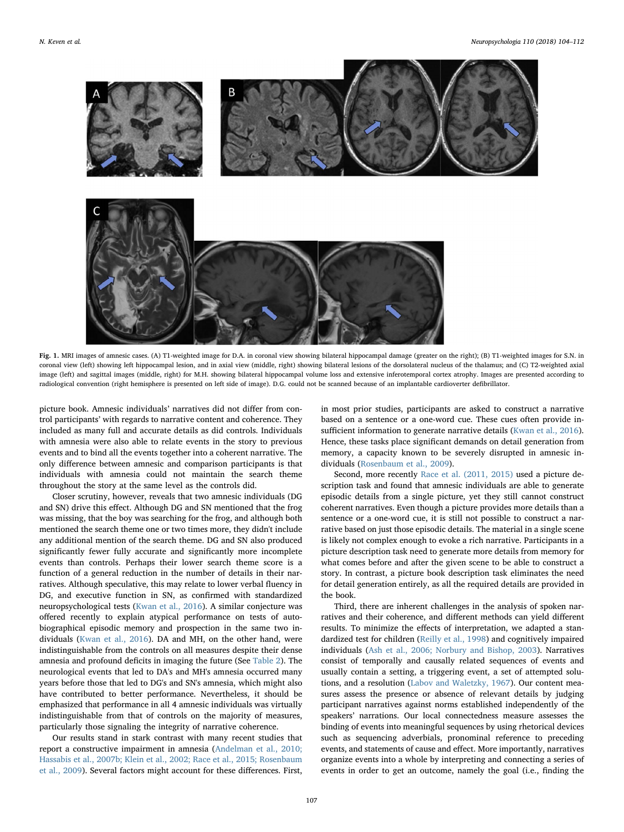<span id="page-3-0"></span>

Fig. 1. MRI images of amnesic cases. (A) T1-weighted image for D.A. in coronal view showing bilateral hippocampal damage (greater on the right); (B) T1-weighted images for S.N. in coronal view (left) showing left hippocampal lesion, and in axial view (middle, right) showing bilateral lesions of the dorsolateral nucleus of the thalamus; and (C) T2-weighted axial image (left) and sagittal images (middle, right) for M.H. showing bilateral hippocampal volume loss and extensive inferotemporal cortex atrophy. Images are presented according to radiological convention (right hemisphere is presented on left side of image). D.G. could not be scanned because of an implantable cardioverter defibrillator.

picture book. Amnesic individuals' narratives did not differ from control participants' with regards to narrative content and coherence. They included as many full and accurate details as did controls. Individuals with amnesia were also able to relate events in the story to previous events and to bind all the events together into a coherent narrative. The only difference between amnesic and comparison participants is that individuals with amnesia could not maintain the search theme throughout the story at the same level as the controls did.

Closer scrutiny, however, reveals that two amnesic individuals (DG and SN) drive this effect. Although DG and SN mentioned that the frog was missing, that the boy was searching for the frog, and although both mentioned the search theme one or two times more, they didn't include any additional mention of the search theme. DG and SN also produced significantly fewer fully accurate and significantly more incomplete events than controls. Perhaps their lower search theme score is a function of a general reduction in the number of details in their narratives. Although speculative, this may relate to lower verbal fluency in DG, and executive function in SN, as confirmed with standardized neuropsychological tests ([Kwan et al., 2016](#page-8-13)). A similar conjecture was offered recently to explain atypical performance on tests of autobiographical episodic memory and prospection in the same two individuals [\(Kwan et al., 2016\)](#page-8-13). DA and MH, on the other hand, were indistinguishable from the controls on all measures despite their dense amnesia and profound deficits in imaging the future (See [Table 2\)](#page-2-1). The neurological events that led to DA's and MH's amnesia occurred many years before those that led to DG's and SN's amnesia, which might also have contributed to better performance. Nevertheless, it should be emphasized that performance in all 4 amnesic individuals was virtually indistinguishable from that of controls on the majority of measures, particularly those signaling the integrity of narrative coherence.

Our results stand in stark contrast with many recent studies that report a constructive impairment in amnesia [\(Andelman et al., 2010;](#page-8-7) [Hassabis et al., 2007b; Klein et al., 2002; Race et al., 2015; Rosenbaum](#page-8-7) [et al., 2009](#page-8-7)). Several factors might account for these differences. First,

in most prior studies, participants are asked to construct a narrative based on a sentence or a one-word cue. These cues often provide insufficient information to generate narrative details [\(Kwan et al., 2016](#page-8-13)). Hence, these tasks place significant demands on detail generation from memory, a capacity known to be severely disrupted in amnesic individuals [\(Rosenbaum et al., 2009\)](#page-8-26).

Second, more recently [Race et al. \(2011, 2015\)](#page-8-27) used a picture description task and found that amnesic individuals are able to generate episodic details from a single picture, yet they still cannot construct coherent narratives. Even though a picture provides more details than a sentence or a one-word cue, it is still not possible to construct a narrative based on just those episodic details. The material in a single scene is likely not complex enough to evoke a rich narrative. Participants in a picture description task need to generate more details from memory for what comes before and after the given scene to be able to construct a story. In contrast, a picture book description task eliminates the need for detail generation entirely, as all the required details are provided in the book.

Third, there are inherent challenges in the analysis of spoken narratives and their coherence, and different methods can yield different results. To minimize the effects of interpretation, we adapted a standardized test for children [\(Reilly et al., 1998](#page-8-19)) and cognitively impaired individuals ([Ash et al., 2006; Norbury and Bishop, 2003\)](#page-8-20). Narratives consist of temporally and causally related sequences of events and usually contain a setting, a triggering event, a set of attempted solutions, and a resolution [\(Labov and Waletzky, 1967](#page-8-28)). Our content measures assess the presence or absence of relevant details by judging participant narratives against norms established independently of the speakers' narrations. Our local connectedness measure assesses the binding of events into meaningful sequences by using rhetorical devices such as sequencing adverbials, pronominal reference to preceding events, and statements of cause and effect. More importantly, narratives organize events into a whole by interpreting and connecting a series of events in order to get an outcome, namely the goal (i.e., finding the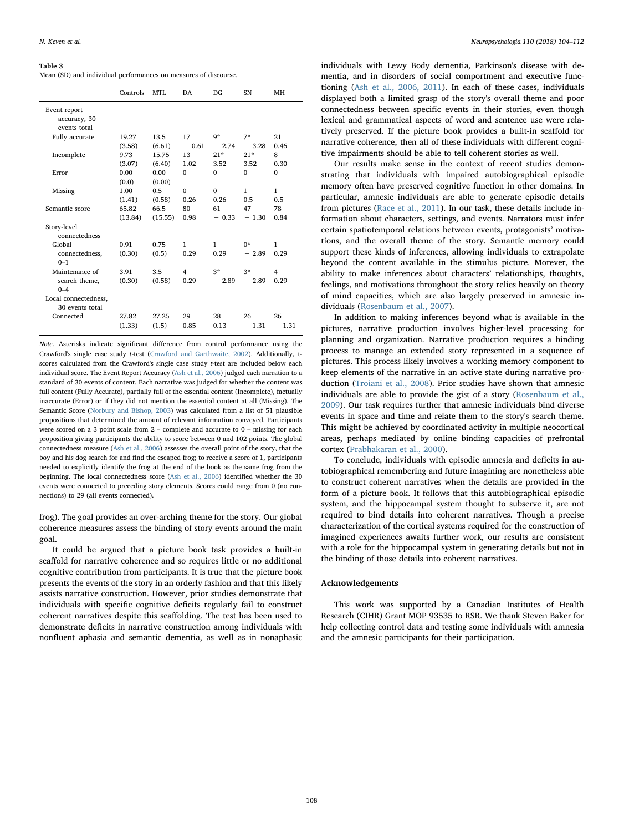#### <span id="page-4-0"></span>Table 3

| Mean (SD) and individual performances on measures of discourse. |  |  |  |
|-----------------------------------------------------------------|--|--|--|
|-----------------------------------------------------------------|--|--|--|

|                                              | Controls         | MTI.            | DA                              | DG                   | SN              | MH                              |
|----------------------------------------------|------------------|-----------------|---------------------------------|----------------------|-----------------|---------------------------------|
| Event report<br>accuracy, 30<br>events total |                  |                 |                                 |                      |                 |                                 |
| Fully accurate                               | 19.27<br>(3.58)  | 13.5<br>(6.61)  | 17<br>$-0.61$                   | q*<br>$-2.74$        | $7*$<br>$-3.28$ | 21<br>0.46                      |
| Incomplete                                   | 9.73<br>(3.07)   | 15.75<br>(6.40) | 13<br>1.02                      | $21*$<br>3.52        | $21*$<br>3.52   | 8<br>0.30                       |
| Error                                        | 0.00<br>(0.0)    | 0.00<br>(0.00)  | $\Omega$                        | $\Omega$             | $\Omega$        | $\Omega$                        |
| Missing                                      | 1.00<br>(1.41)   | 0.5<br>(0.58)   | $\Omega$<br>0.26                | $\Omega$<br>0.26     | 1<br>0.5        | 1<br>0.5                        |
| Semantic score                               | 65.82<br>(13.84) | 66.5<br>(15.55) | 80<br>0.98                      | 61<br>$-0.33$        | 47<br>$-1.30$   | 78<br>0.84                      |
| Story-level<br>connectedness                 |                  |                 |                                 |                      |                 |                                 |
| Global<br>connectedness,<br>$0 - 1$          | 0.91<br>(0.30)   | 0.75<br>(0.5)   | 1<br>0.29                       | $\mathbf{1}$<br>0.29 | $0*$<br>$-2.89$ | 1<br>0.29                       |
| Maintenance of<br>search theme,<br>$0 - 4$   | 3.91<br>(0.30)   | 3.5<br>(0.58)   | $\overline{\mathbf{4}}$<br>0.29 | $3*$<br>$-2.89$      | $3*$<br>$-2.89$ | $\overline{\mathbf{4}}$<br>0.29 |
| Local connectedness,<br>30 events total      |                  |                 |                                 |                      |                 |                                 |
| Connected                                    | 27.82<br>(1.33)  | 27.25<br>(1.5)  | 29<br>0.85                      | 28<br>0.13           | 26<br>$-1.31$   | 26<br>$-1.31$                   |

Note. Asterisks indicate significant difference from control performance using the Crawford's single case study t-test [\(Crawford and Garthwaite, 2002](#page-8-24)). Additionally, tscores calculated from the Crawford's single case study t-test are included below each individual score. The Event Report Accuracy ([Ash et al., 2006\)](#page-8-20) judged each narration to a standard of 30 events of content. Each narrative was judged for whether the content was full content (Fully Accurate), partially full of the essential content (Incomplete), factually inaccurate (Error) or if they did not mention the essential content at all (Missing). The Semantic Score [\(Norbury and Bishop, 2003](#page-8-23)) was calculated from a list of 51 plausible propositions that determined the amount of relevant information conveyed. Participants were scored on a 3 point scale from 2 – complete and accurate to 0 – missing for each proposition giving participants the ability to score between 0 and 102 points. The global connectedness measure ([Ash et al., 2006\)](#page-8-20) assesses the overall point of the story, that the boy and his dog search for and find the escaped frog; to receive a score of 1, participants needed to explicitly identify the frog at the end of the book as the same frog from the beginning. The local connectedness score [\(Ash et al., 2006](#page-8-20)) identified whether the 30 events were connected to preceding story elements. Scores could range from 0 (no connections) to 29 (all events connected).

frog). The goal provides an over-arching theme for the story. Our global coherence measures assess the binding of story events around the main goal.

It could be argued that a picture book task provides a built-in scaffold for narrative coherence and so requires little or no additional cognitive contribution from participants. It is true that the picture book presents the events of the story in an orderly fashion and that this likely assists narrative construction. However, prior studies demonstrate that individuals with specific cognitive deficits regularly fail to construct coherent narratives despite this scaffolding. The test has been used to demonstrate deficits in narrative construction among individuals with nonfluent aphasia and semantic dementia, as well as in nonaphasic

individuals with Lewy Body dementia, Parkinson's disease with dementia, and in disorders of social comportment and executive functioning [\(Ash et al., 2006, 2011](#page-8-20)). In each of these cases, individuals displayed both a limited grasp of the story's overall theme and poor connectedness between specific events in their stories, even though lexical and grammatical aspects of word and sentence use were relatively preserved. If the picture book provides a built-in scaffold for narrative coherence, then all of these individuals with different cognitive impairments should be able to tell coherent stories as well.

Our results make sense in the context of recent studies demonstrating that individuals with impaired autobiographical episodic memory often have preserved cognitive function in other domains. In particular, amnesic individuals are able to generate episodic details from pictures ([Race et al., 2011\)](#page-8-27). In our task, these details include information about characters, settings, and events. Narrators must infer certain spatiotemporal relations between events, protagonists' motivations, and the overall theme of the story. Semantic memory could support these kinds of inferences, allowing individuals to extrapolate beyond the content available in the stimulus picture. Morever, the ability to make inferences about characters' relationships, thoughts, feelings, and motivations throughout the story relies heavily on theory of mind capacities, which are also largely preserved in amnesic individuals [\(Rosenbaum et al., 2007\)](#page-8-29).

In addition to making inferences beyond what is available in the pictures, narrative production involves higher-level processing for planning and organization. Narrative production requires a binding process to manage an extended story represented in a sequence of pictures. This process likely involves a working memory component to keep elements of the narrative in an active state during narrative production [\(Troiani et al., 2008\)](#page-8-30). Prior studies have shown that amnesic individuals are able to provide the gist of a story ([Rosenbaum et al.,](#page-8-26) [2009\)](#page-8-26). Our task requires further that amnesic individuals bind diverse events in space and time and relate them to the story's search theme. This might be achieved by coordinated activity in multiple neocortical areas, perhaps mediated by online binding capacities of prefrontal cortex [\(Prabhakaran et al., 2000](#page-8-31)).

To conclude, individuals with episodic amnesia and deficits in autobiographical remembering and future imagining are nonetheless able to construct coherent narratives when the details are provided in the form of a picture book. It follows that this autobiographical episodic system, and the hippocampal system thought to subserve it, are not required to bind details into coherent narratives. Though a precise characterization of the cortical systems required for the construction of imagined experiences awaits further work, our results are consistent with a role for the hippocampal system in generating details but not in the binding of those details into coherent narratives.

### Acknowledgements

This work was supported by a Canadian Institutes of Health Research (CIHR) Grant MOP 93535 to RSR. We thank Steven Baker for help collecting control data and testing some individuals with amnesia and the amnesic participants for their participation.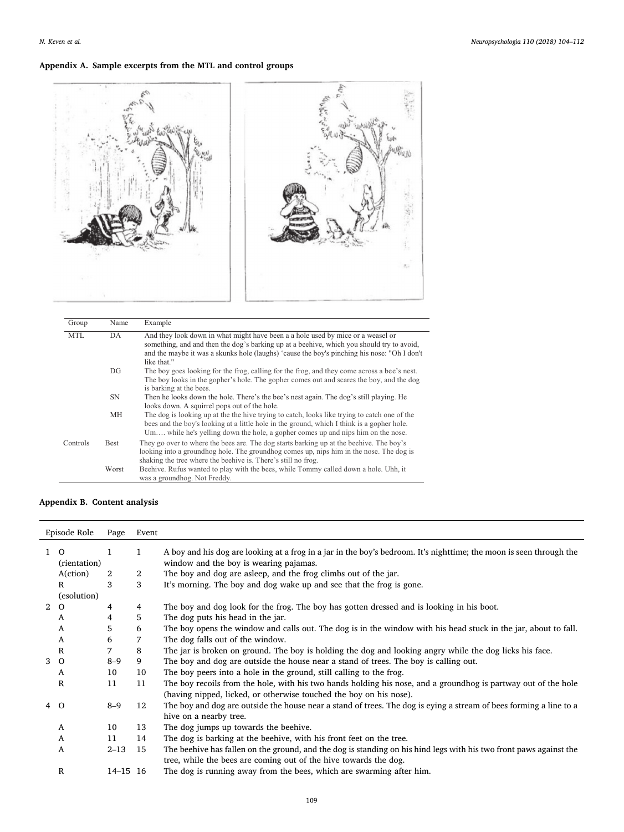# Appendix A. Sample excerpts from the MTL and control groups



| Group      | Name        | Example                                                                                                                                                                                                                                                                                    |
|------------|-------------|--------------------------------------------------------------------------------------------------------------------------------------------------------------------------------------------------------------------------------------------------------------------------------------------|
| <b>MTL</b> | DA          | And they look down in what might have been a a hole used by mice or a weasel or<br>something, and and then the dog's barking up at a beenive, which you should try to avoid,<br>and the maybe it was a skunks hole (laughs) 'cause the boy's pinching his nose: "Oh I don't<br>like that." |
|            | DG          | The boy goes looking for the frog, calling for the frog, and they come across a bee's nest.<br>The boy looks in the gopher's hole. The gopher comes out and scares the boy, and the dog<br>is barking at the bees.                                                                         |
|            | <b>SN</b>   | Then he looks down the hole. There's the bee's nest again. The dog's still playing. He<br>looks down. A squirrel pops out of the hole.                                                                                                                                                     |
|            | MН          | The dog is looking up at the the hive trying to catch, looks like trying to catch one of the<br>bees and the boy's looking at a little hole in the ground, which I think is a gopher hole.<br>Um while he's yelling down the hole, a gopher comes up and nips him on the nose.             |
| Controls   | <b>Best</b> | They go over to where the bees are. The dog starts barking up at the beenive. The boy's<br>looking into a groundhog hole. The groundhog comes up, nips him in the nose. The dog is<br>shaking the tree where the beehive is. There's still no frog.                                        |
|            | Worst       | Beehive. Rufus wanted to play with the bees, while Tommy called down a hole. Uhh, it<br>was a groundhog. Not Freddy.                                                                                                                                                                       |

# Appendix B. Content analysis

| Episode Role   |                          | Page         | Event        |                                                                                                                                                                                        |
|----------------|--------------------------|--------------|--------------|----------------------------------------------------------------------------------------------------------------------------------------------------------------------------------------|
| $\mathbf{1}$   | $\Omega$<br>(rientation) | $\mathbf{1}$ | $\mathbf{1}$ | A boy and his dog are looking at a frog in a jar in the boy's bedroom. It's nighttime; the moon is seen through the<br>window and the boy is wearing pajamas.                          |
|                | A(ction)                 | 2            | 2            | The boy and dog are asleep, and the frog climbs out of the jar.                                                                                                                        |
|                | R                        | 3            | 3            | It's morning. The boy and dog wake up and see that the frog is gone.                                                                                                                   |
|                | (esolution)              |              |              |                                                                                                                                                                                        |
| $\overline{2}$ | $\circ$                  | 4            | 4            | The boy and dog look for the frog. The boy has gotten dressed and is looking in his boot.                                                                                              |
|                | A                        | 4            | 5            | The dog puts his head in the jar.                                                                                                                                                      |
|                | A                        | 5            | 6            | The boy opens the window and calls out. The dog is in the window with his head stuck in the jar, about to fall.                                                                        |
|                | A                        | 6            | 7            | The dog falls out of the window.                                                                                                                                                       |
|                | R                        | 7            | 8            | The jar is broken on ground. The boy is holding the dog and looking angry while the dog licks his face.                                                                                |
| 3              | $\Omega$                 | $8 - 9$      | 9            | The boy and dog are outside the house near a stand of trees. The boy is calling out.                                                                                                   |
|                | A                        | 10           | 10           | The boy peers into a hole in the ground, still calling to the frog.                                                                                                                    |
|                | R                        | 11           | 11           | The boy recoils from the hole, with his two hands holding his nose, and a groundhog is partway out of the hole<br>(having nipped, licked, or otherwise touched the boy on his nose).   |
|                | 4 O                      | $8 - 9$      | 12           | The boy and dog are outside the house near a stand of trees. The dog is eying a stream of bees forming a line to a<br>hive on a nearby tree.                                           |
|                | A                        | 10           | 13           | The dog jumps up towards the beehive.                                                                                                                                                  |
|                | A                        | 11           | 14           | The dog is barking at the beehive, with his front feet on the tree.                                                                                                                    |
|                | A                        | $2 - 13$     | 15           | The beehive has fallen on the ground, and the dog is standing on his hind legs with his two front paws against the<br>tree, while the bees are coming out of the hive towards the dog. |
|                | $\mathbf R$              | 14-15 16     |              | The dog is running away from the bees, which are swarming after him.                                                                                                                   |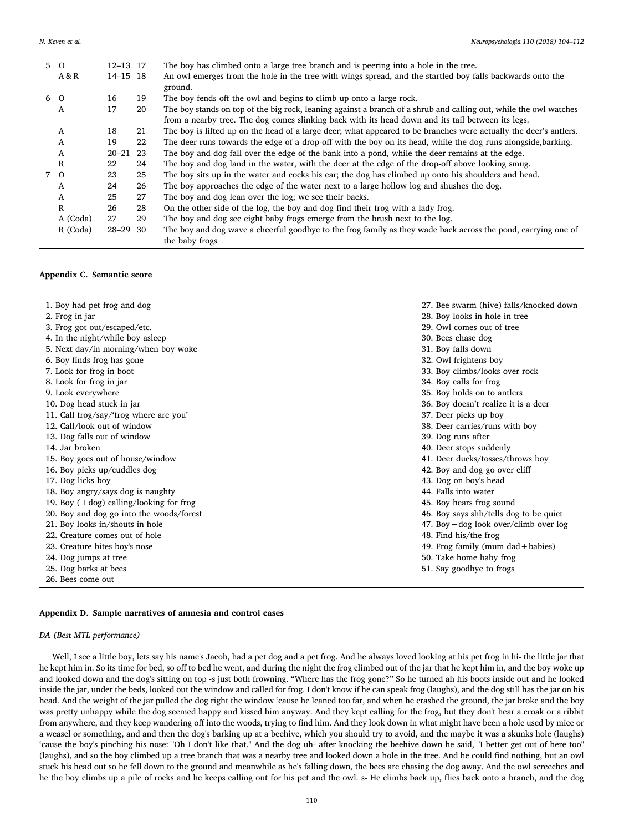| 5 O |              | 12-13 17     |     | The boy has climbed onto a large tree branch and is peering into a hole in the tree.                              |
|-----|--------------|--------------|-----|-------------------------------------------------------------------------------------------------------------------|
|     | A & R        | $14 - 15$ 18 |     | An owl emerges from the hole in the tree with wings spread, and the startled boy falls backwards onto the         |
|     |              |              |     | ground.                                                                                                           |
| 6 O |              | 16           | 19  | The boy fends off the owl and begins to climb up onto a large rock.                                               |
|     | A            | 17           | 20  | The boy stands on top of the big rock, leaning against a branch of a shrub and calling out, while the owl watches |
|     |              |              |     | from a nearby tree. The dog comes slinking back with its head down and its tail between its legs.                 |
|     | A            | 18           | 21  | The boy is lifted up on the head of a large deer; what appeared to be branches were actually the deer's antlers.  |
|     | A            | 19           | 22  | The deer runs towards the edge of a drop-off with the boy on its head, while the dog runs alongside, barking.     |
|     | A            | $20 - 21$    | 23  | The boy and dog fall over the edge of the bank into a pond, while the deer remains at the edge.                   |
|     | $\mathbb{R}$ | 22           | 24  | The boy and dog land in the water, with the deer at the edge of the drop-off above looking smug.                  |
| 7 0 |              | 23           | 25  | The boy sits up in the water and cocks his ear; the dog has climbed up onto his shoulders and head.               |
|     | A            | 24           | 26  | The boy approaches the edge of the water next to a large hollow log and shushes the dog.                          |
|     | A            | 25           | 27  | The boy and dog lean over the log; we see their backs.                                                            |
|     | $\mathbb{R}$ | 26           | 28  | On the other side of the log, the boy and dog find their frog with a lady frog.                                   |
|     | A (Coda)     | 27           | 29  | The boy and dog see eight baby frogs emerge from the brush next to the log.                                       |
|     | R (Coda)     | $28 - 29$    | -30 | The boy and dog wave a cheerful goodbye to the frog family as they wade back across the pond, carrying one of     |
|     |              |              |     | the baby frogs                                                                                                    |

# Appendix C. Semantic score

| 1. Boy had pet frog and dog                | 27. Bee swarm (hive) falls/knocked down  |
|--------------------------------------------|------------------------------------------|
| 2. Frog in jar                             | 28. Boy looks in hole in tree            |
| 3. Frog got out/escaped/etc.               | 29. Owl comes out of tree                |
| 4. In the night/while boy asleep           | 30. Bees chase dog                       |
| 5. Next day/in morning/when boy woke       | 31. Boy falls down                       |
| 6. Boy finds frog has gone                 | 32. Owl frightens boy                    |
| 7. Look for frog in boot                   | 33. Boy climbs/looks over rock           |
| 8. Look for frog in jar                    | 34. Boy calls for frog                   |
| 9. Look everywhere                         | 35. Boy holds on to antlers              |
| 10. Dog head stuck in jar                  | 36. Boy doesn't realize it is a deer     |
| 11. Call frog/say/'frog where are you'     | 37. Deer picks up boy                    |
| 12. Call/look out of window                | 38. Deer carries/runs with boy           |
| 13. Dog falls out of window                | 39. Dog runs after                       |
| 14. Jar broken                             | 40. Deer stops suddenly                  |
| 15. Boy goes out of house/window           | 41. Deer ducks/tosses/throws boy         |
| 16. Boy picks up/cuddles dog               | 42. Boy and dog go over cliff            |
| 17. Dog licks boy                          | 43. Dog on boy's head                    |
| 18. Boy angry/says dog is naughty          | 44. Falls into water                     |
| 19. Boy $(+$ dog) calling/looking for frog | 45. Boy hears frog sound                 |
| 20. Boy and dog go into the woods/forest   | 46. Boy says shh/tells dog to be quiet   |
| 21. Boy looks in/shouts in hole            | 47. Boy + dog look over/climb over $log$ |
| 22. Creature comes out of hole             | 48. Find his/the frog                    |
| 23. Creature bites boy's nose              | 49. Frog family (mum dad + babies)       |
| 24. Dog jumps at tree                      | 50. Take home baby frog                  |
| 25. Dog barks at bees                      | 51. Say goodbye to frogs                 |
| 26. Bees come out                          |                                          |

# Appendix D. Sample narratives of amnesia and control cases

# DA (Best MTL performance)

Well, I see a little boy, lets say his name's Jacob, had a pet dog and a pet frog. And he always loved looking at his pet frog in hi- the little jar that he kept him in. So its time for bed, so off to bed he went, and during the night the frog climbed out of the jar that he kept him in, and the boy woke up and looked down and the dog's sitting on top -s just both frowning. "Where has the frog gone?" So he turned ah his boots inside out and he looked inside the jar, under the beds, looked out the window and called for frog. I don't know if he can speak frog (laughs), and the dog still has the jar on his head. And the weight of the jar pulled the dog right the window 'cause he leaned too far, and when he crashed the ground, the jar broke and the boy was pretty unhappy while the dog seemed happy and kissed him anyway. And they kept calling for the frog, but they don't hear a croak or a ribbit from anywhere, and they keep wandering off into the woods, trying to find him. And they look down in what might have been a hole used by mice or a weasel or something, and and then the dog's barking up at a beehive, which you should try to avoid, and the maybe it was a skunks hole (laughs) 'cause the boy's pinching his nose: "Oh I don't like that." And the dog uh- after knocking the beehive down he said, "I better get out of here too" (laughs), and so the boy climbed up a tree branch that was a nearby tree and looked down a hole in the tree. And he could find nothing, but an owl stuck his head out so he fell down to the ground and meanwhile as he's falling down, the bees are chasing the dog away. And the owl screeches and he the boy climbs up a pile of rocks and he keeps calling out for his pet and the owl. s- He climbs back up, flies back onto a branch, and the dog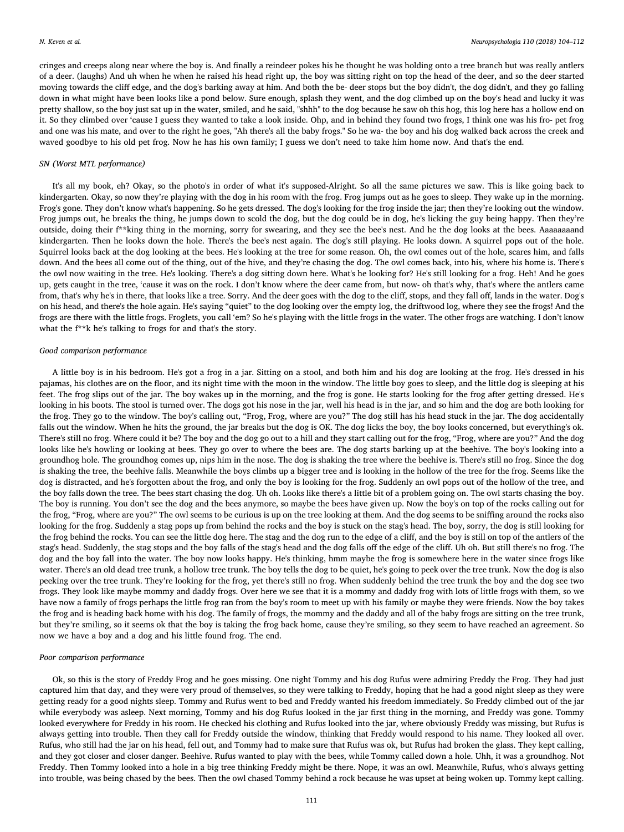cringes and creeps along near where the boy is. And finally a reindeer pokes his he thought he was holding onto a tree branch but was really antlers of a deer. (laughs) And uh when he when he raised his head right up, the boy was sitting right on top the head of the deer, and so the deer started moving towards the cliff edge, and the dog's barking away at him. And both the be- deer stops but the boy didn't, the dog didn't, and they go falling down in what might have been looks like a pond below. Sure enough, splash they went, and the dog climbed up on the boy's head and lucky it was pretty shallow, so the boy just sat up in the water, smiled, and he said, "shhh" to the dog because he saw oh this hog, this log here has a hollow end on it. So they climbed over 'cause I guess they wanted to take a look inside. Ohp, and in behind they found two frogs, I think one was his fro- pet frog and one was his mate, and over to the right he goes, "Ah there's all the baby frogs." So he wa- the boy and his dog walked back across the creek and waved goodbye to his old pet frog. Now he has his own family; I guess we don't need to take him home now. And that's the end.

### SN (Worst MTL performance)

It's all my book, eh? Okay, so the photo's in order of what it's supposed-Alright. So all the same pictures we saw. This is like going back to kindergarten. Okay, so now they're playing with the dog in his room with the frog. Frog jumps out as he goes to sleep. They wake up in the morning. Frog's gone. They don't know what's happening. So he gets dressed. The dog's looking for the frog inside the jar; then they're looking out the window. Frog jumps out, he breaks the thing, he jumps down to scold the dog, but the dog could be in dog, he's licking the guy being happy. Then they're outside, doing their f\*\*king thing in the morning, sorry for swearing, and they see the bee's nest. And he the dog looks at the bees. Aaaaaaaand kindergarten. Then he looks down the hole. There's the bee's nest again. The dog's still playing. He looks down. A squirrel pops out of the hole. Squirrel looks back at the dog looking at the bees. He's looking at the tree for some reason. Oh, the owl comes out of the hole, scares him, and falls down. And the bees all come out of the thing, out of the hive, and they're chasing the dog. The owl comes back, into his, where his home is. There's the owl now waiting in the tree. He's looking. There's a dog sitting down here. What's he looking for? He's still looking for a frog. Heh! And he goes up, gets caught in the tree, 'cause it was on the rock. I don't know where the deer came from, but now- oh that's why, that's where the antlers came from, that's why he's in there, that looks like a tree. Sorry. And the deer goes with the dog to the cliff, stops, and they fall off, lands in the water. Dog's on his head, and there's the hole again. He's saying "quiet" to the dog looking over the empty log, the driftwood log, where they see the frogs! And the frogs are there with the little frogs. Froglets, you call 'em? So he's playing with the little frogs in the water. The other frogs are watching. I don't know what the f\*\*k he's talking to frogs for and that's the story.

#### Good comparison performance

A little boy is in his bedroom. He's got a frog in a jar. Sitting on a stool, and both him and his dog are looking at the frog. He's dressed in his pajamas, his clothes are on the floor, and its night time with the moon in the window. The little boy goes to sleep, and the little dog is sleeping at his feet. The frog slips out of the jar. The boy wakes up in the morning, and the frog is gone. He starts looking for the frog after getting dressed. He's looking in his boots. The stool is turned over. The dogs got his nose in the jar, well his head is in the jar, and so him and the dog are both looking for the frog. They go to the window. The boy's calling out, "Frog, Frog, where are you?" The dog still has his head stuck in the jar. The dog accidentally falls out the window. When he hits the ground, the jar breaks but the dog is OK. The dog licks the boy, the boy looks concerned, but everything's ok. There's still no frog. Where could it be? The boy and the dog go out to a hill and they start calling out for the frog, "Frog, where are you?" And the dog looks like he's howling or looking at bees. They go over to where the bees are. The dog starts barking up at the beehive. The boy's looking into a groundhog hole. The groundhog comes up, nips him in the nose. The dog is shaking the tree where the beehive is. There's still no frog. Since the dog is shaking the tree, the beehive falls. Meanwhile the boys climbs up a bigger tree and is looking in the hollow of the tree for the frog. Seems like the dog is distracted, and he's forgotten about the frog, and only the boy is looking for the frog. Suddenly an owl pops out of the hollow of the tree, and the boy falls down the tree. The bees start chasing the dog. Uh oh. Looks like there's a little bit of a problem going on. The owl starts chasing the boy. The boy is running. You don't see the dog and the bees anymore, so maybe the bees have given up. Now the boy's on top of the rocks calling out for the frog, "Frog, where are you?" The owl seems to be curious is up on the tree looking at them. And the dog seems to be sniffing around the rocks also looking for the frog. Suddenly a stag pops up from behind the rocks and the boy is stuck on the stag's head. The boy, sorry, the dog is still looking for the frog behind the rocks. You can see the little dog here. The stag and the dog run to the edge of a cliff, and the boy is still on top of the antlers of the stag's head. Suddenly, the stag stops and the boy falls of the stag's head and the dog falls off the edge of the cliff. Uh oh. But still there's no frog. The dog and the boy fall into the water. The boy now looks happy. He's thinking, hmm maybe the frog is somewhere here in the water since frogs like water. There's an old dead tree trunk, a hollow tree trunk. The boy tells the dog to be quiet, he's going to peek over the tree trunk. Now the dog is also peeking over the tree trunk. They're looking for the frog, yet there's still no frog. When suddenly behind the tree trunk the boy and the dog see two frogs. They look like maybe mommy and daddy frogs. Over here we see that it is a mommy and daddy frog with lots of little frogs with them, so we have now a family of frogs perhaps the little frog ran from the boy's room to meet up with his family or maybe they were friends. Now the boy takes the frog and is heading back home with his dog. The family of frogs, the mommy and the daddy and all of the baby frogs are sitting on the tree trunk, but they're smiling, so it seems ok that the boy is taking the frog back home, cause they're smiling, so they seem to have reached an agreement. So now we have a boy and a dog and his little found frog. The end.

#### Poor comparison performance

Ok, so this is the story of Freddy Frog and he goes missing. One night Tommy and his dog Rufus were admiring Freddy the Frog. They had just captured him that day, and they were very proud of themselves, so they were talking to Freddy, hoping that he had a good night sleep as they were getting ready for a good nights sleep. Tommy and Rufus went to bed and Freddy wanted his freedom immediately. So Freddy climbed out of the jar while everybody was asleep. Next morning, Tommy and his dog Rufus looked in the jar first thing in the morning, and Freddy was gone. Tommy looked everywhere for Freddy in his room. He checked his clothing and Rufus looked into the jar, where obviously Freddy was missing, but Rufus is always getting into trouble. Then they call for Freddy outside the window, thinking that Freddy would respond to his name. They looked all over. Rufus, who still had the jar on his head, fell out, and Tommy had to make sure that Rufus was ok, but Rufus had broken the glass. They kept calling, and they got closer and closer danger. Beehive. Rufus wanted to play with the bees, while Tommy called down a hole. Uhh, it was a groundhog. Not Freddy. Then Tommy looked into a hole in a big tree thinking Freddy might be there. Nope, it was an owl. Meanwhile, Rufus, who's always getting into trouble, was being chased by the bees. Then the owl chased Tommy behind a rock because he was upset at being woken up. Tommy kept calling.